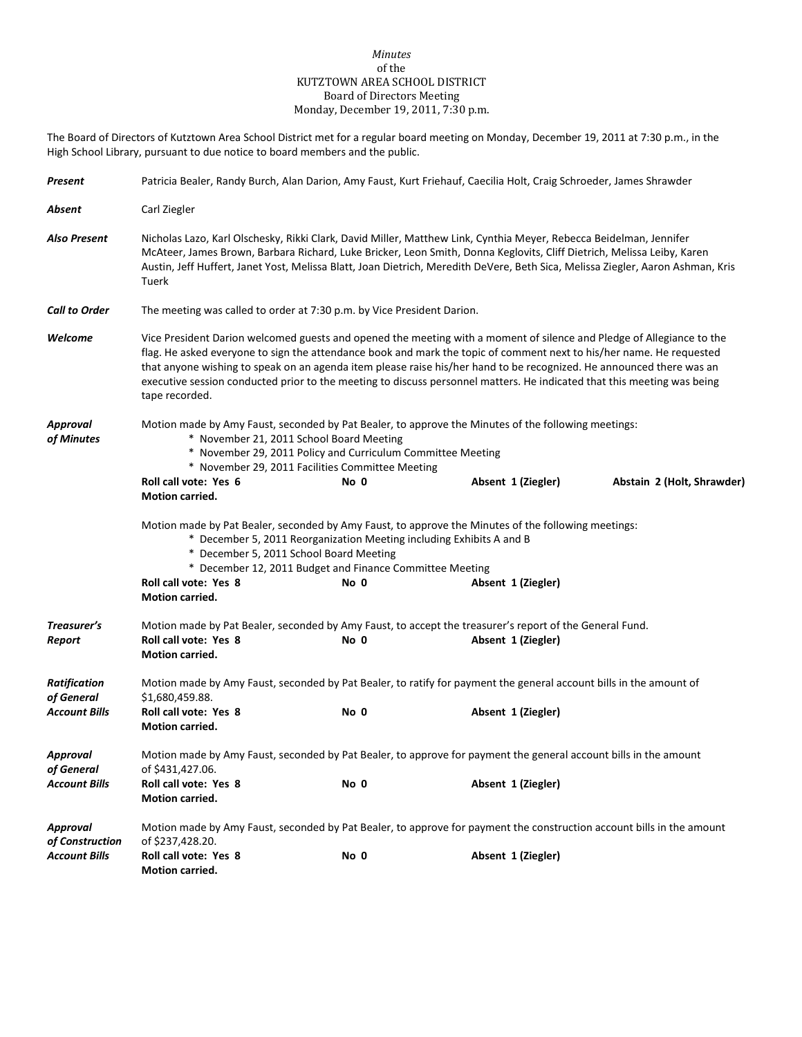## *Minutes* of the KUTZTOWN AREA SCHOOL DISTRICT Board of Directors Meeting Monday, December 19, 2011, 7:30 p.m.

The Board of Directors of Kutztown Area School District met for a regular board meeting on Monday, December 19, 2011 at 7:30 p.m., in the High School Library, pursuant to due notice to board members and the public.

| Present                                                   | Patricia Bealer, Randy Burch, Alan Darion, Amy Faust, Kurt Friehauf, Caecilia Holt, Craig Schroeder, James Shrawder                                                                                                                                                                                                                                                                                                                                                                                                |      |  |  |                    |                            |  |  |
|-----------------------------------------------------------|--------------------------------------------------------------------------------------------------------------------------------------------------------------------------------------------------------------------------------------------------------------------------------------------------------------------------------------------------------------------------------------------------------------------------------------------------------------------------------------------------------------------|------|--|--|--------------------|----------------------------|--|--|
| Absent                                                    | Carl Ziegler                                                                                                                                                                                                                                                                                                                                                                                                                                                                                                       |      |  |  |                    |                            |  |  |
| <b>Also Present</b>                                       | Nicholas Lazo, Karl Olschesky, Rikki Clark, David Miller, Matthew Link, Cynthia Meyer, Rebecca Beidelman, Jennifer<br>McAteer, James Brown, Barbara Richard, Luke Bricker, Leon Smith, Donna Keglovits, Cliff Dietrich, Melissa Leiby, Karen<br>Austin, Jeff Huffert, Janet Yost, Melissa Blatt, Joan Dietrich, Meredith DeVere, Beth Sica, Melissa Ziegler, Aaron Ashman, Kris<br>Tuerk                                                                                                                           |      |  |  |                    |                            |  |  |
| <b>Call to Order</b>                                      | The meeting was called to order at 7:30 p.m. by Vice President Darion.                                                                                                                                                                                                                                                                                                                                                                                                                                             |      |  |  |                    |                            |  |  |
| Welcome                                                   | Vice President Darion welcomed guests and opened the meeting with a moment of silence and Pledge of Allegiance to the<br>flag. He asked everyone to sign the attendance book and mark the topic of comment next to his/her name. He requested<br>that anyone wishing to speak on an agenda item please raise his/her hand to be recognized. He announced there was an<br>executive session conducted prior to the meeting to discuss personnel matters. He indicated that this meeting was being<br>tape recorded. |      |  |  |                    |                            |  |  |
| Approval<br>of Minutes                                    | Motion made by Amy Faust, seconded by Pat Bealer, to approve the Minutes of the following meetings:<br>* November 21, 2011 School Board Meeting<br>* November 29, 2011 Policy and Curriculum Committee Meeting<br>* November 29, 2011 Facilities Committee Meeting                                                                                                                                                                                                                                                 |      |  |  |                    |                            |  |  |
|                                                           | Roll call vote: Yes 6<br><b>Motion carried.</b>                                                                                                                                                                                                                                                                                                                                                                                                                                                                    | No 0 |  |  | Absent 1 (Ziegler) | Abstain 2 (Holt, Shrawder) |  |  |
|                                                           | Motion made by Pat Bealer, seconded by Amy Faust, to approve the Minutes of the following meetings:<br>* December 5, 2011 Reorganization Meeting including Exhibits A and B<br>* December 5, 2011 School Board Meeting<br>* December 12, 2011 Budget and Finance Committee Meeting                                                                                                                                                                                                                                 |      |  |  |                    |                            |  |  |
|                                                           | Roll call vote: Yes 8<br><b>Motion carried.</b>                                                                                                                                                                                                                                                                                                                                                                                                                                                                    | No 0 |  |  | Absent 1 (Ziegler) |                            |  |  |
| Treasurer's<br>Report                                     | Motion made by Pat Bealer, seconded by Amy Faust, to accept the treasurer's report of the General Fund.<br>Roll call vote: Yes 8<br><b>Motion carried.</b>                                                                                                                                                                                                                                                                                                                                                         | No 0 |  |  | Absent 1 (Ziegler) |                            |  |  |
| <b>Ratification</b><br>of General<br><b>Account Bills</b> | Motion made by Amy Faust, seconded by Pat Bealer, to ratify for payment the general account bills in the amount of<br>\$1,680,459.88.<br>Roll call vote: Yes 8<br><b>Motion carried.</b>                                                                                                                                                                                                                                                                                                                           | No 0 |  |  | Absent 1 (Ziegler) |                            |  |  |
| Approval<br>of General                                    | Motion made by Amy Faust, seconded by Pat Bealer, to approve for payment the general account bills in the amount<br>of \$431,427.06.                                                                                                                                                                                                                                                                                                                                                                               |      |  |  |                    |                            |  |  |
| <b>Account Bills</b>                                      | Roll call vote: Yes 8<br><b>Motion carried.</b>                                                                                                                                                                                                                                                                                                                                                                                                                                                                    | No 0 |  |  | Absent 1 (Ziegler) |                            |  |  |
| Approval<br>of Construction                               | Motion made by Amy Faust, seconded by Pat Bealer, to approve for payment the construction account bills in the amount<br>of \$237,428.20.                                                                                                                                                                                                                                                                                                                                                                          |      |  |  |                    |                            |  |  |
| <b>Account Bills</b>                                      | Roll call vote: Yes 8<br>Motion carried.                                                                                                                                                                                                                                                                                                                                                                                                                                                                           | No 0 |  |  | Absent 1 (Ziegler) |                            |  |  |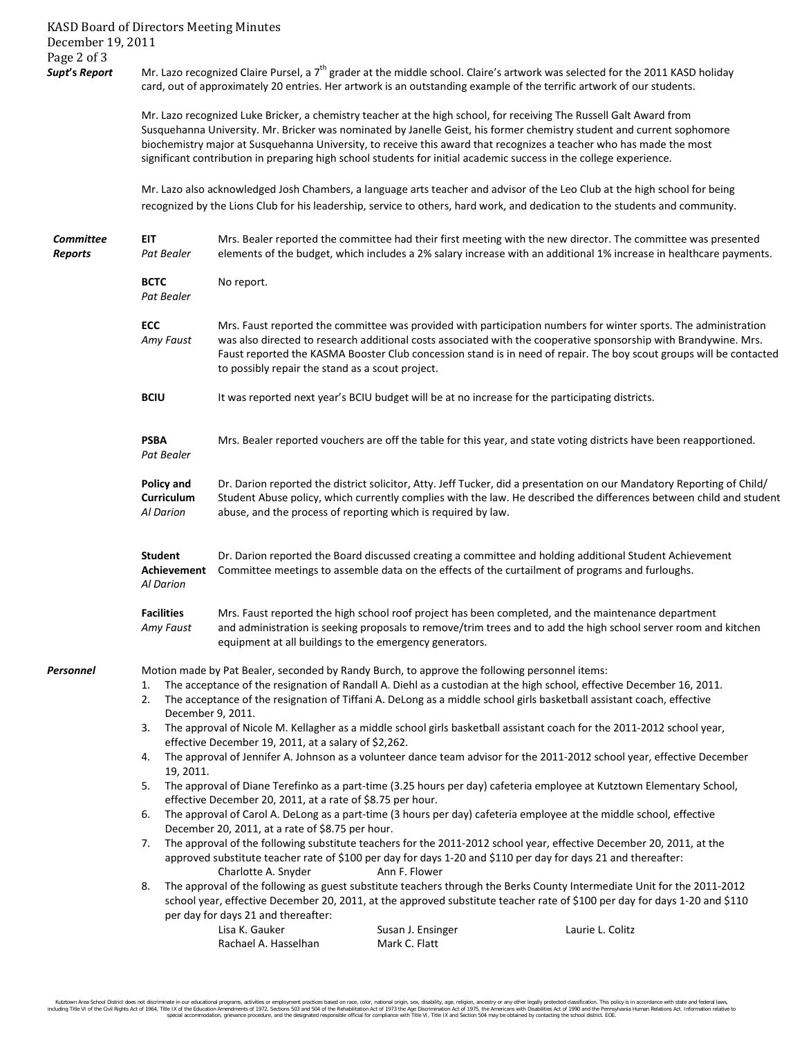KASD Board of Directors Meeting Minutes December 19, 2011 Page 2 of 3<br>Supt's Report *Mr.* Lazo recognized Claire Pursel, a 7<sup>th</sup> grader at the middle school. Claire's artwork was selected for the 2011 KASD holiday card, out of approximately 20 entries. Her artwork is an outstanding example of the terrific artwork of our students. Mr. Lazo recognized Luke Bricker, a chemistry teacher at the high school, for receiving The Russell Galt Award from Susquehanna University. Mr. Bricker was nominated by Janelle Geist, his former chemistry student and current sophomore biochemistry major at Susquehanna University, to receive this award that recognizes a teacher who has made the most significant contribution in preparing high school students for initial academic success in the college experience. Mr. Lazo also acknowledged Josh Chambers, a language arts teacher and advisor of the Leo Club at the high school for being recognized by the Lions Club for his leadership, service to others, hard work, and dedication to the students and community. *Committee* **EIT** Mrs. Bealer reported the committee had their first meeting with the new director. The committee was presented *Reports Pat Bealer* elements of the budget, which includes a 2% salary increase with an additional 1% increase in healthcare payments. **BCTC** No report. *Pat Bealer* **ECC** Mrs. Faust reported the committee was provided with participation numbers for winter sports. The administration *Amy Faust* was also directed to research additional costs associated with the cooperative sponsorship with Brandywine. Mrs. Faust reported the KASMA Booster Club concession stand is in need of repair. The boy scout groups will be contacted to possibly repair the stand as a scout project. **BCIU** It was reported next year's BCIU budget will be at no increase for the participating districts. **PSBA** Mrs. Bealer reported vouchers are off the table for this year, and state voting districts have been reapportioned. *Pat Bealer*  Policy and Dr. Darion reported the district solicitor, Atty. Jeff Tucker, did a presentation on our Mandatory Reporting of Child/ **Curriculum** Student Abuse policy, which currently complies with the law. He described the differences between child and student *Al Darion* abuse, and the process of reporting which is required by law. **Student** Dr. Darion reported the Board discussed creating a committee and holding additional Student Achievement **Achievement** Committee meetings to assemble data on the effects of the curtailment of programs and furloughs. *Al Darion* **Facilities** Mrs. Faust reported the high school roof project has been completed, and the maintenance department *Amy Faust* and administration is seeking proposals to remove/trim trees and to add the high school server room and kitchen equipment at all buildings to the emergency generators. **Personnel** Motion made by Pat Bealer, seconded by Randy Burch, to approve the following personnel items: 1. The acceptance of the resignation of Randall A. Diehl as a custodian at the high school, effective December 16, 2011. 2. The acceptance of the resignation of Tiffani A. DeLong as a middle school girls basketball assistant coach, effective December 9, 2011. 3. The approval of Nicole M. Kellagher as a middle school girls basketball assistant coach for the 2011-2012 school year, effective December 19, 2011, at a salary of \$2,262. 4. The approval of Jennifer A. Johnson as a volunteer dance team advisor for the 2011-2012 school year, effective December 19, 2011. 5. The approval of Diane Terefinko as a part-time (3.25 hours per day) cafeteria employee at Kutztown Elementary School, effective December 20, 2011, at a rate of \$8.75 per hour. 6. The approval of Carol A. DeLong as a part-time (3 hours per day) cafeteria employee at the middle school, effective December 20, 2011, at a rate of \$8.75 per hour. 7. The approval of the following substitute teachers for the 2011-2012 school year, effective December 20, 2011, at the approved substitute teacher rate of \$100 per day for days 1-20 and \$110 per day for days 21 and thereafter: Charlotte A. Snyder Ann F. Flower 8. The approval of the following as guest substitute teachers through the Berks County Intermediate Unit for the 2011-2012 school year, effective December 20, 2011, at the approved substitute teacher rate of \$100 per day for days 1-20 and \$110 per day for days 21 and thereafter: Lisa K. Gauker **Susan J. Ensinger** Susan J. Ensinger Laurie L. Colitz Rachael A. Hasselhan Mark C. Flatt